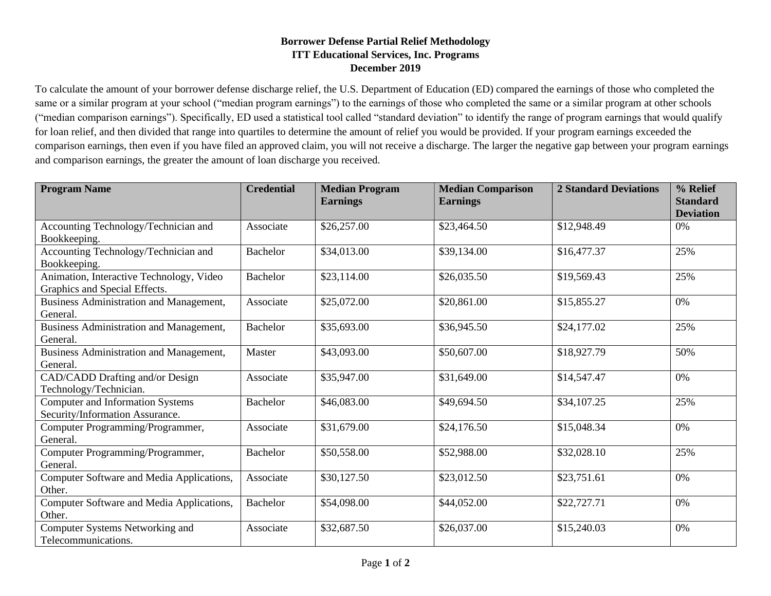## **Borrower Defense Partial Relief Methodology ITT Educational Services, Inc. Programs December 2019**

To calculate the amount of your borrower defense discharge relief, the U.S. Department of Education (ED) compared the earnings of those who completed the same or a similar program at your school ("median program earnings") to the earnings of those who completed the same or a similar program at other schools ("median comparison earnings"). Specifically, ED used a statistical tool called "standard deviation" to identify the range of program earnings that would qualify for loan relief, and then divided that range into quartiles to determine the amount of relief you would be provided. If your program earnings exceeded the comparison earnings, then even if you have filed an approved claim, you will not receive a discharge. The larger the negative gap between your program earnings and comparison earnings, the greater the amount of loan discharge you received.

| <b>Program Name</b>                                                        | <b>Credential</b> | <b>Median Program</b><br><b>Earnings</b> | <b>Median Comparison</b><br><b>Earnings</b> | <b>2 Standard Deviations</b> | % Relief<br><b>Standard</b><br><b>Deviation</b> |
|----------------------------------------------------------------------------|-------------------|------------------------------------------|---------------------------------------------|------------------------------|-------------------------------------------------|
| Accounting Technology/Technician and<br>Bookkeeping.                       | Associate         | \$26,257.00                              | \$23,464.50                                 | \$12,948.49                  | 0%                                              |
| Accounting Technology/Technician and<br>Bookkeeping.                       | <b>Bachelor</b>   | \$34,013.00                              | \$39,134.00                                 | \$16,477.37                  | 25%                                             |
| Animation, Interactive Technology, Video<br>Graphics and Special Effects.  | <b>Bachelor</b>   | \$23,114.00                              | \$26,035.50                                 | \$19,569.43                  | 25%                                             |
| Business Administration and Management,<br>General.                        | Associate         | \$25,072.00                              | \$20,861.00                                 | \$15,855.27                  | 0%                                              |
| Business Administration and Management,<br>General.                        | <b>Bachelor</b>   | \$35,693.00                              | \$36,945.50                                 | \$24,177.02                  | 25%                                             |
| Business Administration and Management,<br>General.                        | Master            | \$43,093.00                              | \$50,607.00                                 | \$18,927.79                  | 50%                                             |
| CAD/CADD Drafting and/or Design<br>Technology/Technician.                  | Associate         | \$35,947.00                              | \$31,649.00                                 | \$14,547.47                  | 0%                                              |
| <b>Computer and Information Systems</b><br>Security/Information Assurance. | <b>Bachelor</b>   | \$46,083.00                              | \$49,694.50                                 | \$34,107.25                  | 25%                                             |
| Computer Programming/Programmer,<br>General.                               | Associate         | \$31,679.00                              | \$24,176.50                                 | \$15,048.34                  | 0%                                              |
| Computer Programming/Programmer,<br>General.                               | <b>Bachelor</b>   | \$50,558.00                              | \$52,988.00                                 | \$32,028.10                  | 25%                                             |
| Computer Software and Media Applications,<br>Other.                        | Associate         | \$30,127.50                              | \$23,012.50                                 | \$23,751.61                  | 0%                                              |
| Computer Software and Media Applications,<br>Other.                        | <b>Bachelor</b>   | \$54,098.00                              | \$44,052.00                                 | \$22,727.71                  | 0%                                              |
| Computer Systems Networking and<br>Telecommunications.                     | Associate         | \$32,687.50                              | \$26,037.00                                 | \$15,240.03                  | 0%                                              |